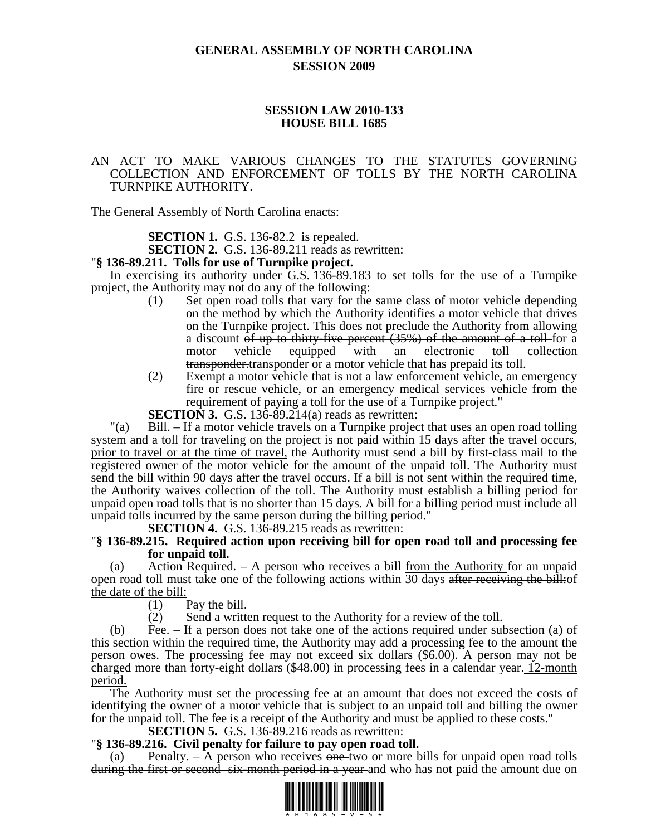# **GENERAL ASSEMBLY OF NORTH CAROLINA SESSION 2009**

# **SESSION LAW 2010-133 HOUSE BILL 1685**

# AN ACT TO MAKE VARIOUS CHANGES TO THE STATUTES GOVERNING COLLECTION AND ENFORCEMENT OF TOLLS BY THE NORTH CAROLINA TURNPIKE AUTHORITY.

The General Assembly of North Carolina enacts:

**SECTION 1.** G.S. 136-82.2 is repealed.

**SECTION 2.** G.S. 136-89.211 reads as rewritten: "**§ 136-89.211. Tolls for use of Turnpike project.** 

In exercising its authority under G.S. 136-89.183 to set tolls for the use of a Turnpike project, the Authority may not do any of the following:

- (1) Set open road tolls that vary for the same class of motor vehicle depending on the method by which the Authority identifies a motor vehicle that drives on the Turnpike project. This does not preclude the Authority from allowing a discount of up to thirty-five percent  $(35%)$  of the amount of a toll-for a motor vehicle equipped with an electronic toll collection transponder.transponder or a motor vehicle that has prepaid its toll.
- (2) Exempt a motor vehicle that is not a law enforcement vehicle, an emergency fire or rescue vehicle, or an emergency medical services vehicle from the requirement of paying a toll for the use of a Turnpike project."

**SECTION 3.** G.S. 136-89.214(a) reads as rewritten:

"(a) Bill. – If a motor vehicle travels on a Turnpike project that uses an open road tolling system and a toll for traveling on the project is not paid within 15 days after the travel occurs, prior to travel or at the time of travel, the Authority must send a bill by first-class mail to the registered owner of the motor vehicle for the amount of the unpaid toll. The Authority must send the bill within 90 days after the travel occurs. If a bill is not sent within the required time, the Authority waives collection of the toll. The Authority must establish a billing period for unpaid open road tolls that is no shorter than 15 days. A bill for a billing period must include all unpaid tolls incurred by the same person during the billing period."

# **SECTION 4.** G.S. 136-89.215 reads as rewritten: "**§ 136-89.215. Required action upon receiving bill for open road toll and processing fee for unpaid toll.**

(a) Action Required. – A person who receives a bill from the Authority for an unpaid open road toll must take one of the following actions within 30 days after receiving the bill: of the date of the bill:

(1) Pay the bill.

(2) Send a written request to the Authority for a review of the toll.

(b) Fee. – If a person does not take one of the actions required under subsection (a) of this section within the required time, the Authority may add a processing fee to the amount the person owes. The processing fee may not exceed six dollars (\$6.00). A person may not be charged more than forty-eight dollars (\$48.00) in processing fees in a calendar year. 12-month period.

The Authority must set the processing fee at an amount that does not exceed the costs of identifying the owner of a motor vehicle that is subject to an unpaid toll and billing the owner for the unpaid toll. The fee is a receipt of the Authority and must be applied to these costs."

### **SECTION 5.** G.S. 136-89.216 reads as rewritten: "**§ 136-89.216. Civil penalty for failure to pay open road toll.**

(a) Penalty.  $-$  A person who receives one-two or more bills for unpaid open road tolls during the first or second six-month period in a year and who has not paid the amount due on

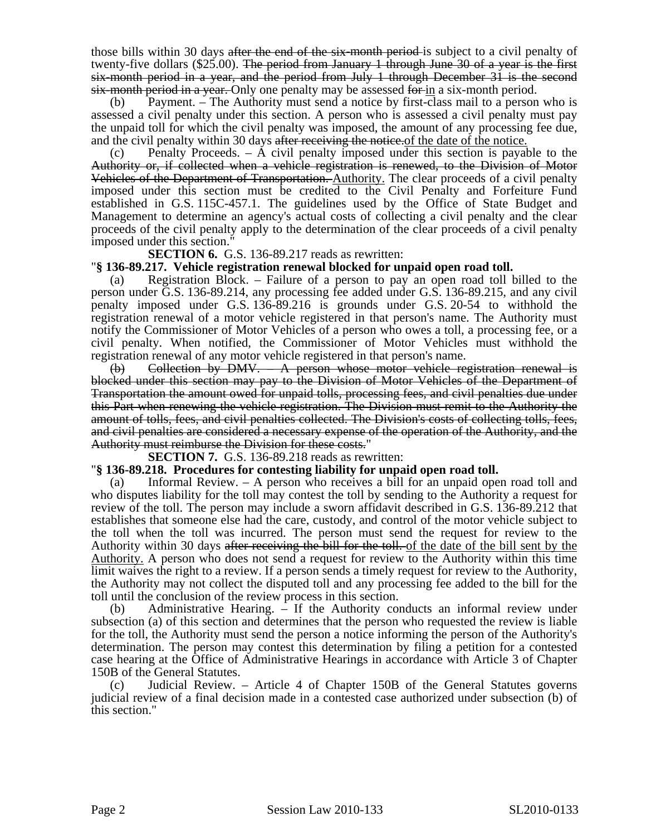those bills within 30 days after the end of the six-month period-is subject to a civil penalty of twenty-five dollars (\$25.00). The period from January 1 through June 30 of a year is the first six-month period in a year, and the period from July 1 through December 31 is the second six-month period in a year. Only one penalty may be assessed for in a six-month period.

(b) Payment. – The Authority must send a notice by first-class mail to a person who is assessed a civil penalty under this section. A person who is assessed a civil penalty must pay the unpaid toll for which the civil penalty was imposed, the amount of any processing fee due, and the civil penalty within 30 days after receiving the notice.

Penalty Proceeds.  $-$  A civil penalty imposed under this section is payable to the Authority or, if collected when a vehicle registration is renewed, to the Division of Motor Vehicles of the Department of Transportation. Authority. The clear proceeds of a civil penalty imposed under this section must be credited to the Civil Penalty and Forfeiture Fund established in G.S. 115C-457.1. The guidelines used by the Office of State Budget and Management to determine an agency's actual costs of collecting a civil penalty and the clear proceeds of the civil penalty apply to the determination of the clear proceeds of a civil penalty imposed under this section."

**SECTION 6.** G.S. 136-89.217 reads as rewritten:

# "**§ 136-89.217. Vehicle registration renewal blocked for unpaid open road toll.**

(a) Registration Block. – Failure of a person to pay an open road toll billed to the person under G.S. 136-89.214, any processing fee added under G.S. 136-89.215, and any civil penalty imposed under G.S. 136-89.216 is grounds under G.S. 20-54 to withhold the registration renewal of a motor vehicle registered in that person's name. The Authority must notify the Commissioner of Motor Vehicles of a person who owes a toll, a processing fee, or a civil penalty. When notified, the Commissioner of Motor Vehicles must withhold the registration renewal of any motor vehicle registered in that person's name.

 $(b)$  Collection by DMV.  $\rightarrow$  A person whose motor vehicle registration renewal is blocked under this section may pay to the Division of Motor Vehicles of the Department of Transportation the amount owed for unpaid tolls, processing fees, and civil penalties due under this Part when renewing the vehicle registration. The Division must remit to the Authority the amount of tolls, fees, and civil penalties collected. The Division's costs of collecting tolls, fees, and civil penalties are considered a necessary expense of the operation of the Authority, and the Authority must reimburse the Division for these costs."

**SECTION 7.** G.S. 136-89.218 reads as rewritten:

# "**§ 136-89.218. Procedures for contesting liability for unpaid open road toll.**

(a) Informal Review. – A person who receives a bill for an unpaid open road toll and who disputes liability for the toll may contest the toll by sending to the Authority a request for review of the toll. The person may include a sworn affidavit described in G.S. 136-89.212 that establishes that someone else had the care, custody, and control of the motor vehicle subject to the toll when the toll was incurred. The person must send the request for review to the Authority within 30 days after receiving the bill for the toll. of the date of the bill sent by the Authority. A person who does not send a request for review to the Authority within this time limit waives the right to a review. If a person sends a timely request for review to the Authority, the Authority may not collect the disputed toll and any processing fee added to the bill for the toll until the conclusion of the review process in this section.

(b) Administrative Hearing. – If the Authority conducts an informal review under subsection (a) of this section and determines that the person who requested the review is liable for the toll, the Authority must send the person a notice informing the person of the Authority's determination. The person may contest this determination by filing a petition for a contested case hearing at the Office of Administrative Hearings in accordance with Article 3 of Chapter 150B of the General Statutes.

Judicial Review. – Article 4 of Chapter 150B of the General Statutes governs judicial review of a final decision made in a contested case authorized under subsection (b) of this section."